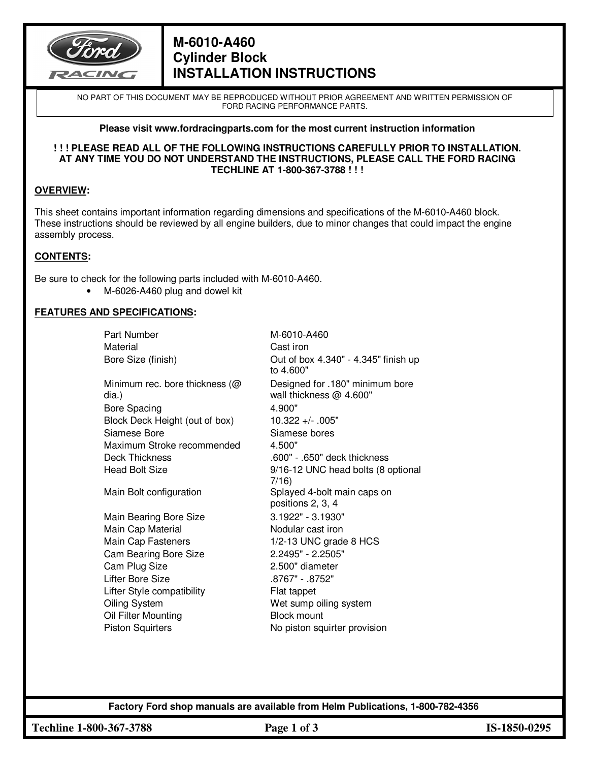

# **M-6010-A460 Cylinder Block INSTALLATION INSTRUCTIONS**

NO PART OF THIS DOCUMENT MAY BE REPRODUCED WITHOUT PRIOR AGREEMENT AND WRITTEN PERMISSION OF FORD RACING PERFORMANCE PARTS.

#### **Please visit www.fordracingparts.com for the most current instruction information**

#### **! ! ! PLEASE READ ALL OF THE FOLLOWING INSTRUCTIONS CAREFULLY PRIOR TO INSTALLATION. AT ANY TIME YOU DO NOT UNDERSTAND THE INSTRUCTIONS, PLEASE CALL THE FORD RACING TECHLINE AT 1-800-367-3788 ! ! !**

## **OVERVIEW:**

This sheet contains important information regarding dimensions and specifications of the M-6010-A460 block. These instructions should be reviewed by all engine builders, due to minor changes that could impact the engine assembly process.

## **CONTENTS:**

Be sure to check for the following parts included with M-6010-A460.

• M-6026-A460 plug and dowel kit

### **FEATURES AND SPECIFICATIONS:**

| Part Number                                | M-6010-A460                                                |
|--------------------------------------------|------------------------------------------------------------|
| Material                                   | Cast iron                                                  |
| Bore Size (finish)                         | Out of box 4.340" - 4.345" finish up<br>to 4.600"          |
| Minimum rec. bore thickness ( $@$<br>dia.) | Designed for .180" minimum bore<br>wall thickness @ 4.600" |
| <b>Bore Spacing</b>                        | 4.900"                                                     |
| Block Deck Height (out of box)             | $10.322 +/- .005"$                                         |
| Siamese Bore                               | Siamese bores                                              |
| Maximum Stroke recommended                 | 4.500"                                                     |
| <b>Deck Thickness</b>                      | .600" - .650" deck thickness                               |
| <b>Head Bolt Size</b>                      | 9/16-12 UNC head bolts (8 optional                         |
|                                            | 7/16)                                                      |
| Main Bolt configuration                    | Splayed 4-bolt main caps on                                |
|                                            | positions 2, 3, 4                                          |
| Main Bearing Bore Size                     | 3.1922" - 3.1930"                                          |
| Main Cap Material                          | Nodular cast iron                                          |
| Main Cap Fasteners                         | 1/2-13 UNC grade 8 HCS                                     |
| Cam Bearing Bore Size                      | 2.2495" - 2.2505"                                          |
| Cam Plug Size                              | 2.500" diameter                                            |
| <b>Lifter Bore Size</b>                    | .8767" - .8752"                                            |
| Lifter Style compatibility                 | Flat tappet                                                |
| Oiling System                              | Wet sump oiling system                                     |
| Oil Filter Mounting                        | <b>Block mount</b>                                         |
| <b>Piston Squirters</b>                    | No piston squirter provision                               |
|                                            |                                                            |

**Factory Ford shop manuals are available from Helm Publications, 1-800-782-4356** 

**Techline 1-800-367-3788 Page 1 of 3 IS-1850-0295**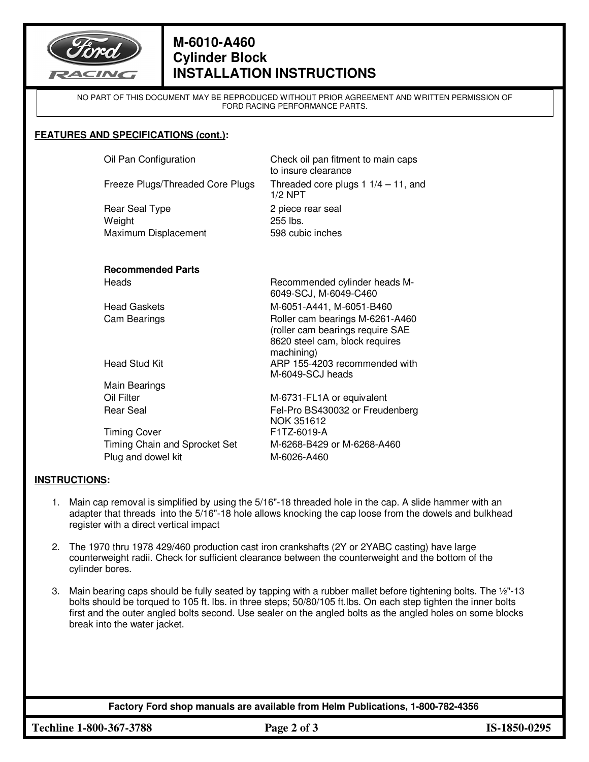

# **M-6010-A460 Cylinder Block INSTALLATION INSTRUCTIONS**

NO PART OF THIS DOCUMENT MAY BE REPRODUCED WITHOUT PRIOR AGREEMENT AND WRITTEN PERMISSION OF FORD RACING PERFORMANCE PARTS.

### **FEATURES AND SPECIFICATIONS (cont.):**

Oil Pan Configuration Check oil pan fitment to main caps

Rear Seal Type 2 piece rear seal Weight 255 lbs. Maximum Displacement 598 cubic inches

to insure clearance Freeze Plugs/Threaded Core Plugs Threaded core plugs 1 1/4 - 11, and 1/2 NPT

#### **Recommended Parts**  Heads Recommended cylinder heads M-

|                               | 6049-SCJ, M-6049-C460                                                                                               |
|-------------------------------|---------------------------------------------------------------------------------------------------------------------|
| <b>Head Gaskets</b>           | M-6051-A441, M-6051-B460                                                                                            |
| Cam Bearings                  | Roller cam bearings M-6261-A460<br>(roller cam bearings require SAE<br>8620 steel cam, block requires<br>machining) |
| <b>Head Stud Kit</b>          | ARP 155-4203 recommended with<br>M-6049-SCJ heads                                                                   |
| Main Bearings                 |                                                                                                                     |
| Oil Filter                    | M-6731-FL1A or equivalent                                                                                           |
| Rear Seal                     | Fel-Pro BS430032 or Freudenberg<br>NOK 351612                                                                       |
| <b>Timing Cover</b>           | F1TZ-6019-A                                                                                                         |
| Timing Chain and Sprocket Set | M-6268-B429 or M-6268-A460                                                                                          |

Plug and dowel kit M-6026-A460

## **INSTRUCTIONS:**

- 1. Main cap removal is simplified by using the 5/16"-18 threaded hole in the cap. A slide hammer with an adapter that threads into the 5/16"-18 hole allows knocking the cap loose from the dowels and bulkhead register with a direct vertical impact
- 2. The 1970 thru 1978 429/460 production cast iron crankshafts (2Y or 2YABC casting) have large counterweight radii. Check for sufficient clearance between the counterweight and the bottom of the cylinder bores.
- 3. Main bearing caps should be fully seated by tapping with a rubber mallet before tightening bolts. The ½"-13 bolts should be torqued to 105 ft. lbs. in three steps; 50/80/105 ft.lbs. On each step tighten the inner bolts first and the outer angled bolts second. Use sealer on the angled bolts as the angled holes on some blocks break into the water jacket.

**Factory Ford shop manuals are available from Helm Publications, 1-800-782-4356** 

**Techline 1-800-367-3788 Page 2 of 3 IS-1850-0295**